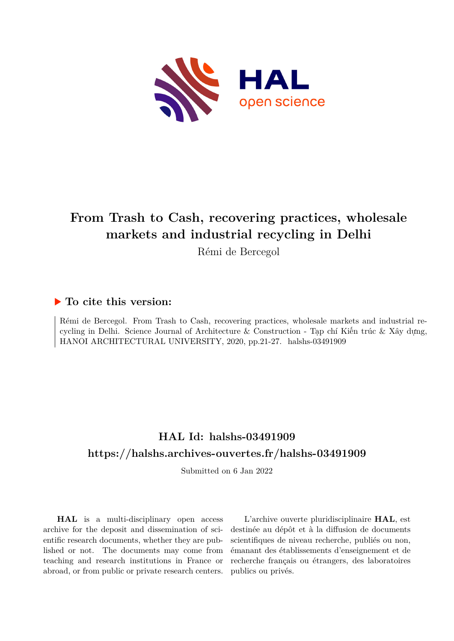

## **From Trash to Cash, recovering practices, wholesale markets and industrial recycling in Delhi**

Rémi de Bercegol

### **To cite this version:**

Rémi de Bercegol. From Trash to Cash, recovering practices, wholesale markets and industrial recycling in Delhi. Science Journal of Architecture & Construction - Tạp chí Kiến trúc & Xây dựng, HANOI ARCHITECTURAL UNIVERSITY, 2020, pp.21-27. halshs-03491909

## **HAL Id: halshs-03491909 <https://halshs.archives-ouvertes.fr/halshs-03491909>**

Submitted on 6 Jan 2022

**HAL** is a multi-disciplinary open access archive for the deposit and dissemination of scientific research documents, whether they are published or not. The documents may come from teaching and research institutions in France or abroad, or from public or private research centers.

L'archive ouverte pluridisciplinaire **HAL**, est destinée au dépôt et à la diffusion de documents scientifiques de niveau recherche, publiés ou non, émanant des établissements d'enseignement et de recherche français ou étrangers, des laboratoires publics ou privés.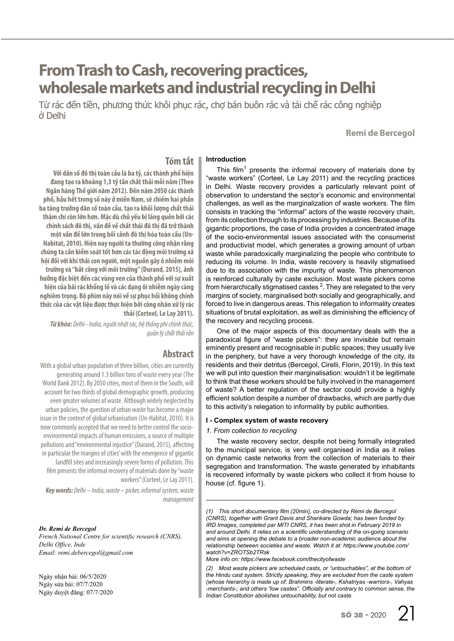# **From Trash to Cash, recovering practices, wholesale markets and industrial recycling in Delhi**

Từ rác đến tiền, phương thức khôi phục rác, chợ bán buôn rác và tái chế rác công nghiệp ở Delhi

**Remi de Bercegol**

#### **Tóm tắt Introduction**

**Với dân số đô thị toàn cầu là ba tỷ, các thành phố hiện đang tạo ra khoảng 1,3 tỷ tấn chất thải mỗi năm (Theo Ngân hàng Thế giới năm 2012). Đến năm 2050 các thành phố, hầu hết trong số này ở miền Nam, sẽ chiếm hai phần ba tăng trưởng dân số toàn cầu, tạo ra khối lượng chất thải thậm chí còn lớn hơn. Mặc dù chủ yếu bị lãng quên bởi các chính sách đô thị, vấn đề về chất thải đô thị đã trở thành một vấn đề lớn trong bối cảnh đô thị hóa toàn cầu (Un-Habitat, 2010). Hiện nay người ta thường công nhận rằng chúng ta cần kiểm soát tốt hơn các tác động môi trường xã hội đối với khí thải con người, một nguồn gây ô nhiễm môi trường và "bất công với môi trường" (Durand, 2015), ảnh hưởng đặc biệt đến các vùng ven của thành phố với sự xuất hiện của bãi rác khổng lồ và các dạng ôi nhiễm ngày càng nghiêm trọng. Bộ phim này nói về sự phục hồi không chính thức của các vật liệu được thực hiện bởi công nhân xử lý rác thải (Corteel, Le Lay 2011).**

*Từ khóa: Delhi - India, người nhặt rác, hệ thống phi chính thức, quản lý chất thải rắn*

### **Abstract**

With a global urban population of three billion, cities are currently generating around 1.3 billion tons of waste every year (The World Bank 2012). By 2050 cities, most of them in the South, will account for two thirds of global demographic growth, producing even greater volumes of waste. Although widely neglected by urban policies, the question of urban waste has become a major issue in the context of global urbanisation (Un-Habitat, 2010). It is now commonly accepted that we need to better control the socioenvironmental impacts of human emissions, a source of multiple pollutions and "environmental injustice" (Durand, 2015), affecting in particular the margins of cities' with the emergence of gigantic landfill sites and increasingly severe forms of pollution. This film presents the informal recovery of materials done by "waste workers" (Corteel, Le Lay 2011).

*Key words: Delhi – India, waste – picker, informal system, waste management*

#### *Dr. Remi de Bercegol*

*French National Centre for scientific research (CNRS), Delhi Office, Inde Email: remi.debercegol@gmail.com*

Ngày nhận bài: 06/5/2020 Ngày sửa bài: 07/7/2020 Ngày duyệt đăng: 07/7/2020

This film<sup>1</sup> presents the informal recovery of materials done by "waste workers" (Corteel, Le Lay 2011) and the recycling practices in Delhi. Waste recovery provides a particularly relevant point of observation to understand the sector's economic and environmental challenges, as well as the marginalization of waste workers. The film consists in tracking the "informal" actors of the waste recovery chain, from its collection through to its processing by industries. Because of its gigantic proportions, the case of India provides a concentrated image of the socio-environmental issues associated with the consumerist and productivist model, which generates a growing amount of urban waste while paradoxically marginalizing the people who contribute to reducing its volume. In India, waste recovery is heavily stigmatised due to its association with the impurity of waste. This phenomenon is reinforced culturally by caste exclusion. Most waste pickers come from hierarchically stigmatised castes  $^2$ . They are relegated to the very margins of society, marginalised both socially and geographically, and forced to live in dangerous areas. This relegation to informality creates situations of brutal exploitation, as well as diminishing the efficiency of the recovery and recycling process.

One of the major aspects of this documentary deals with the a paradoxical figure of "waste pickers": they are invisible but remain eminently present and recognisable in public spaces; they usually live in the periphery, but have a very thorough knowledge of the city, its residents and their detritus (Bercegol, Cirelli, Florin, 2019). In this text we will put into question their marginalisation: wouldn't it be legitimate to think that these workers should be fully involved in the management of waste? A better regulation of the sector could provide a highly efficient solution despite a number of drawbacks, which are partly due to this activity's relegation to informality by public authorities.

#### **I - Complex system of waste recovery**

#### *1. From collection to recycling*

The waste recovery sector, despite not being formally integrated to the municipal service, is very well organised in India as it relies on dynamic caste networks from the collection of materials to their segregation and transformation. The waste generated by inhabitants is recovered informally by waste pickers who collect it from house to house (cf. figure 1).

*(1) This short documentary film (20min), co-directed by Rémi de Bercegol (CNRS), together with Grant Davis and Shankare Gowda; has been funded by*  IRD Images, completed par MITI CNRS, it has been shot in February 2019 in *and around Delhi. It relies on a scientific understanding of the on-going scenario and aims at opening the debate to a broader non-academic audience about the relationship between societies and waste. Watch it at: https://www.youtube.com/ watch?v=ZROTSb2TRsk*

*More info on: https://www.facebook.com/thecityofwaste*

*<sup>(2)</sup> Most waste pickers are scheduled casts, or "untouchables", at the bottom of the Hindu cast system. Strictly speaking, they are excluded from the caste system (whose hierarchy is made up of: Brahmins -literate-, Kshatriyas -warriors-, Vahyas -merchants-; and others "low castes". Officially and contrary to common sense, the Indian Constitution abolishes untouchability, but not caste.*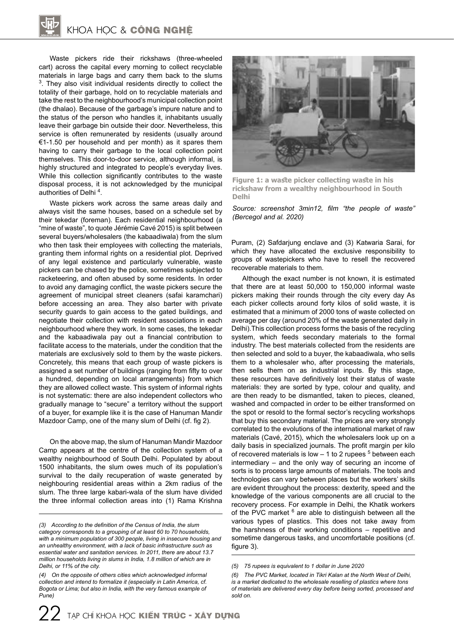Waste pickers ride their rickshaws (three-wheeled cart) across the capital every morning to collect recyclable materials in large bags and carry them back to the slums  $3$ . They also visit individual residents directly to collect the totality of their garbage, hold on to recyclable materials and take the rest to the neighbourhood's municipal collection point (the dhalao). Because of the garbage's impure nature and to the status of the person who handles it, inhabitants usually leave their garbage bin outside their door. Nevertheless, this service is often remunerated by residents (usually around €1-1.50 per household and per month) as it spares them having to carry their garbage to the local collection point themselves. This door-to-door service, although informal, is highly structured and integrated to people's everyday lives. While this collection significantly contributes to the waste disposal process, it is not acknowledged by the municipal authorities of Delhi<sup>4</sup>.

Waste pickers work across the same areas daily and always visit the same houses, based on a schedule set by their tekedar (foreman). Each residential neighbourhood (a "mine of waste", to quote Jérémie Cavé 2015) is split between several buyers/wholesalers (the kabaadiwala) from the slum who then task their employees with collecting the materials, granting them informal rights on a residential plot. Deprived of any legal existence and particularly vulnerable, waste pickers can be chased by the police, sometimes subjected to racketeering, and often abused by some residents. In order to avoid any damaging conflict, the waste pickers secure the agreement of municipal street cleaners (safai karamchari) before accessing an area. They also barter with private security guards to gain access to the gated buildings, and negotiate their collection with resident associations in each neighbourhood where they work. In some cases, the tekedar and the kabaadiwala pay out a financial contribution to facilitate access to the materials, under the condition that the materials are exclusively sold to them by the waste pickers. Concretely, this means that each group of waste pickers is assigned a set number of buildings (ranging from fifty to over a hundred, depending on local arrangements) from which they are allowed collect waste. This system of informal rights is not systematic: there are also independent collectors who gradually manage to "secure" a territory without the support of a buyer, for example like it is the case of Hanuman Mandir Mazdoor Camp, one of the many slum of Delhi (cf. fig 2).

On the above map, the slum of Hanuman Mandir Mazdoor Camp appears at the centre of the collection system of a wealthy neighbourhood of South Delhi. Populated by about 1500 inhabitants, the slum owes much of its population's survival to the daily recuperation of waste generated by neighbouring residential areas within a 2km radius of the slum. The three large kabari-wala of the slum have divided the three informal collection areas into (1) Rama Krishna



**Figure 1: a waste picker collecting waste in his rickshaw from a wealthy neighbourhood in South Delhi**

*Source: screenshot 3min12, film "the people of waste" (Bercegol and al. 2020)*

Puram, (2) Safdarjung enclave and (3) Katwaria Sarai, for which they have allocated the exclusive responsibility to groups of wastepickers who have to resell the recovered recoverable materials to them.

Although the exact number is not known, it is estimated that there are at least 50,000 to 150,000 informal waste pickers making their rounds through the city every day As each picker collects around forty kilos of solid waste, it is estimated that a minimum of 2000 tons of waste collected on average per day (around 20% of the waste generated daily in Delhi).This collection process forms the basis of the recycling system, which feeds secondary materials to the formal industry. The best materials collected from the residents are then selected and sold to a buyer, the kabaadiwala, who sells them to a wholesaler who, after processing the materials, then sells them on as industrial inputs. By this stage, these resources have definitively lost their status of waste materials: they are sorted by type, colour and quality, and are then ready to be dismantled, taken to pieces, cleaned, washed and compacted in order to be either transformed on the spot or resold to the formal sector's recycling workshops that buy this secondary material. The prices are very strongly correlated to the evolutions of the international market of raw materials (Cavé, 2015), which the wholesalers look up on a daily basis in specialized journals. The profit margin per kilo of recovered materials is low  $-1$  to 2 rupees  $5$  between each intermediary – and the only way of securing an income of sorts is to process large amounts of materials. The tools and technologies can vary between places but the workers' skills are evident throughout the process: dexterity, speed and the knowledge of the various components are all crucial to the recovery process. For example in Delhi, the Khatik workers of the PVC market <sup>6</sup> are able to distinguish between all the various types of plastics. This does not take away from the harshness of their working conditions – repetitive and sometime dangerous tasks, and uncomfortable positions (cf. figure 3).

*<sup>(3)</sup> According to the definition of the Census of India, the slum category corresponds to a grouping of at least 60 to 70 households, with a minimum population of 300 people, living in insecure housing and an unhealthy environment, with a lack of basic infrastructure such as essential water and sanitation services. In 2011, there are about 13.7 million households living in slums in India, 1.8 million of which are in Delhi, or 11% of the city.*

*<sup>(4)</sup> On the opposite of others cities which acknowledged informal collection and intend to formalize it (especially in Latin America, cf. Bogota or Lima; but also in India, with the very famous example of Pune)*

*<sup>(5)</sup> 75 rupees is equivalent to 1 dollar in June 2020*

*<sup>(6)</sup> The PVC Market, located in Tikri Kalan at the North West of Delhi, is a market dedicated to the wholesale reselling of plastics where tons of materials are delivered every day before being sorted, processed and sold on.*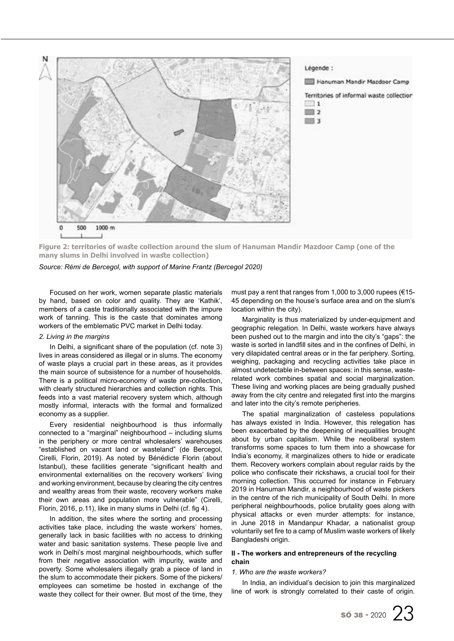

**Figure 2: territories of waste collection around the slum of Hanuman Mandir Mazdoor Camp (one of the many slums in Delhi involved in waste collection)**

*Source: Rémi de Bercegol, with support of Marine Frantz (Bercegol 2020)*

Focused on her work, women separate plastic materials by hand, based on color and quality. They are ʻKathik', members of a caste traditionally associated with the impure work of tanning. This is the caste that dominates among workers of the emblematic PVC market in Delhi today.

#### *2. Living in the margins*

In Delhi, a significant share of the population (cf. note 3) lives in areas considered as illegal or in slums. The economy of waste plays a crucial part in these areas, as it provides the main source of subsistence for a number of households. There is a political micro-economy of waste pre-collection, with clearly structured hierarchies and collection rights. This feeds into a vast material recovery system which, although mostly informal, interacts with the formal and formalized economy as a supplier.

Every residential neighbourhood is thus informally connected to a "marginal" neighbourhood – including slums in the periphery or more central wholesalers' warehouses "established on vacant land or wasteland" (de Bercegol, Cirelli, Florin, 2019). As noted by Bénédicte Florin (about Istanbul), these facilities generate "significant health and environmental externalities on the recovery workers' living and working environment, because by clearing the city centres and wealthy areas from their waste, recovery workers make their own areas and population more vulnerable" (Cirelli, Florin, 2016, p.11), like in many slums in Delhi (cf. fig 4).

In addition, the sites where the sorting and processing activities take place, including the waste workers' homes, generally lack in basic facilities with no access to drinking water and basic sanitation systems. These people live and work in Delhi's most marginal neighbourhoods, which suffer from their negative association with impurity, waste and poverty. Some wholesalers illegally grab a piece of land in the slum to accommodate their pickers. Some of the pickers/ employees can sometime be hosted in exchange of the waste they collect for their owner. But most of the time, they

must pay a rent that ranges from 1,000 to 3,000 rupees (€15- 45 depending on the house's surface area and on the slum's location within the city).

Marginality is thus materialized by under-equipment and geographic relegation. In Delhi, waste workers have always been pushed out to the margin and into the city's "gaps": the waste is sorted in landfill sites and in the confines of Delhi, in very dilapidated central areas or in the far periphery. Sorting, weighing, packaging and recycling activities take place in almost undetectable in-between spaces: in this sense, wasterelated work combines spatial and social marginalization. These living and working places are being gradually pushed away from the city centre and relegated first into the margins and later into the city's remote peripheries.

The spatial marginalization of casteless populations has always existed in India. However, this relegation has been exacerbated by the deepening of inequalities brought about by urban capitalism. While the neoliberal system transforms some spaces to turn them into a showcase for India's economy, it marginalizes others to hide or eradicate them. Recovery workers complain about regular raids by the police who confiscate their rickshaws, a crucial tool for their morning collection. This occurred for instance in February 2019 in Hanuman Mandir, a neighbourhood of waste pickers in the centre of the rich municipality of South Delhi. In more peripheral neighbourhoods, police brutality goes along with physical attacks or even murder attempts: for instance, in June 2018 in Mandanpur Khadar, a nationalist group voluntarily set fire to a camp of Muslim waste workers of likely Bangladeshi origin.

#### **II - The workers and entrepreneurs of the recycling chain**

#### *1. Who are the waste workers?*

In India, an individual's decision to join this marginalized line of work is strongly correlated to their caste of origin.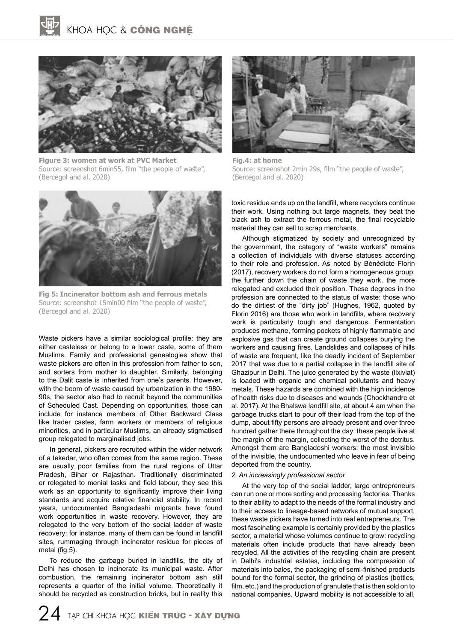

**Figure 3: women at work at PVC Market** Source: screenshot 6min55, film "the people of waste", (Bercegol and al. 2020)



**Fig 5: Incinerator bottom ash and ferrous metals** Source: screenshot 15min00 film "the people of waste", (Bercegol and al. 2020)

Waste pickers have a similar sociological profile: they are either casteless or belong to a lower caste, some of them Muslims. Family and professional genealogies show that waste pickers are often in this profession from father to son, and sorters from mother to daughter. Similarly, belonging to the Dalit caste is inherited from one's parents. However, with the boom of waste caused by urbanization in the 1980- 90s, the sector also had to recruit beyond the communities of Scheduled Cast. Depending on opportunities, those can include for instance members of Other Backward Class like trader castes, farm workers or members of religious minorities, and in particular Muslims, an already stigmatised group relegated to marginalised jobs.

In general, pickers are recruited within the wider network of a tekedar, who often comes from the same region. These are usually poor families from the rural regions of Uttar Pradesh, Bihar or Rajasthan. Traditionally discriminated or relegated to menial tasks and field labour, they see this work as an opportunity to significantly improve their living standards and acquire relative financial stability. In recent years, undocumented Bangladeshi migrants have found work opportunities in waste recovery. However, they are relegated to the very bottom of the social ladder of waste recovery: for instance, many of them can be found in landfill sites, rummaging through incinerator residue for pieces of metal (fig 5).

To reduce the garbage buried in landfills, the city of Delhi has chosen to incinerate its municipal waste. After combustion, the remaining incinerator bottom ash still represents a quarter of the initial volume. Theoretically it should be recycled as construction bricks, but in reality this



**Fig.4: at home**  Source: screenshot 2min 29s, film "the people of waste", (Bercegol and al. 2020)

toxic residue ends up on the landfill, where recyclers continue their work. Using nothing but large magnets, they beat the black ash to extract the ferrous metal, the final recyclable material they can sell to scrap merchants.

Although stigmatized by society and unrecognized by the government, the category of "waste workers" remains a collection of individuals with diverse statuses according to their role and profession. As noted by Bénédicte Florin (2017), recovery workers do not form a homogeneous group: the further down the chain of waste they work, the more relegated and excluded their position. These degrees in the profession are connected to the status of waste: those who do the dirtiest of the "dirty job" (Hughes, 1962, quoted by Florin 2016) are those who work in landfills, where recovery work is particularly tough and dangerous. Fermentation produces methane, forming pockets of highly flammable and explosive gas that can create ground collapses burying the workers and causing fires. Landslides and collapses of hills of waste are frequent, like the deadly incident of September 2017 that was due to a partial collapse in the landfill site of Ghazipur in Delhi. The juice generated by the waste (lixiviat) is loaded with organic and chemical pollutants and heavy metals. These hazards are combined with the high incidence of health risks due to diseases and wounds (Chockhandre et al. 2017). At the Bhalswa landfill site, at about 4 am when the garbage trucks start to pour off their load from the top of the dump, about fifty persons are already present and over three hundred gather there throughout the day: these people live at the margin of the margin, collecting the worst of the detritus. Amongst them are Bangladeshi workers: the most invisible of the invisible, the undocumented who leave in fear of being deported from the country.

#### *2. An increasingly professional sector*

At the very top of the social ladder, large entrepreneurs can run one or more sorting and processing factories. Thanks to their ability to adapt to the needs of the formal industry and to their access to lineage-based networks of mutual support, these waste pickers have turned into real entrepreneurs. The most fascinating example is certainly provided by the plastics sector, a material whose volumes continue to grow: recycling materials often include products that have already been recycled. All the activities of the recycling chain are present in Delhi's industrial estates, including the compression of materials into bales, the packaging of semi-finished products bound for the formal sector, the grinding of plastics (bottles, film, etc.) and the production of granulate that is then sold on to national companies. Upward mobility is not accessible to all,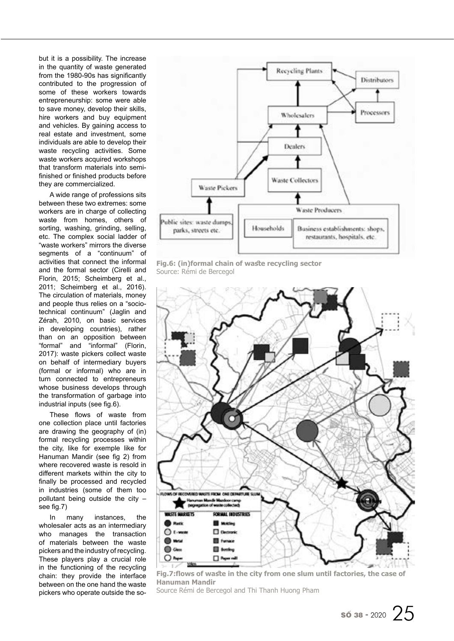but it is a possibility. The increase in the quantity of waste generated from the 1980-90s has significantly contributed to the progression of some of these workers towards entrepreneurship: some were able to save money, develop their skills, hire workers and buy equipment and vehicles. By gaining access to real estate and investment, some individuals are able to develop their waste recycling activities. Some waste workers acquired workshops that transform materials into semifinished or finished products before they are commercialized.

A wide range of professions sits between these two extremes: some workers are in charge of collecting waste from homes, others of sorting, washing, grinding, selling, etc. The complex social ladder of "waste workers" mirrors the diverse segments of a "continuum" of activities that connect the informal and the formal sector (Cirelli and Florin, 2015; Scheimberg et al., 2011; Scheimberg et al., 2016). The circulation of materials, money and people thus relies on a "sociotechnical continuum" (Jaglin and Zérah, 2010, on basic services in developing countries), rather than on an opposition between "formal" and "informal" (Florin, 2017): waste pickers collect waste on behalf of intermediary buyers (formal or informal) who are in turn connected to entrepreneurs whose business develops through the transformation of garbage into industrial inputs (see fig.6).

These flows of waste from one collection place until factories are drawing the geography of (in) formal recycling processes within the city, like for exemple like for Hanuman Mandir (see fig 2) from where recovered waste is resold in different markets within the city to finally be processed and recycled in industries (some of them too pollutant being outside the city – see fig.7)

In many instances, the wholesaler acts as an intermediary who manages the transaction of materials between the waste pickers and the industry of recycling. These players play a crucial role in the functioning of the recycling chain: they provide the interface between on the one hand the waste pickers who operate outside the so-



**Fig.6: (in)formal chain of waste recycling sector** Source: Rémi de Bercegol



**Fig.7:flows of waste in the city from one slum until factories, the case of Hanuman Mandir**

Source Rémi de Bercegol and Thi Thanh Huong Pham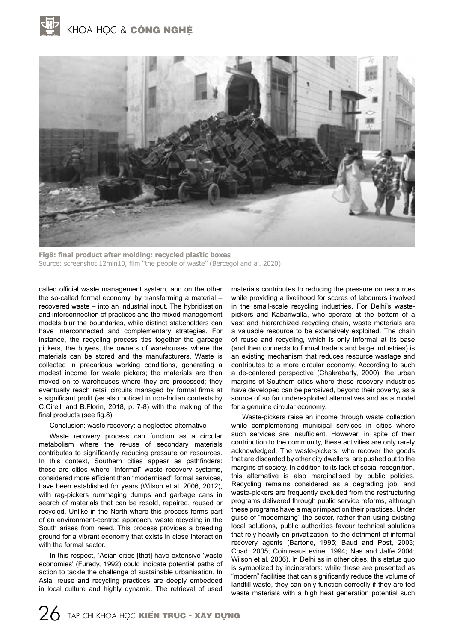

**Fig8: final product after molding: recycled plastic boxes** Source: screenshot 12min10, film "the people of waste" (Bercegol and al. 2020)

called official waste management system, and on the other the so-called formal economy, by transforming a material – recovered waste – into an industrial input. The hybridisation and interconnection of practices and the mixed management models blur the boundaries, while distinct stakeholders can have interconnected and complementary strategies. For instance, the recycling process ties together the garbage pickers, the buyers, the owners of warehouses where the materials can be stored and the manufacturers. Waste is collected in precarious working conditions, generating a modest income for waste pickers; the materials are then moved on to warehouses where they are processed; they eventually reach retail circuits managed by formal firms at a significant profit (as also noticed in non-Indian contexts by C.Cirelli and B.Florin, 2018, p. 7-8) with the making of the final products (see fig.8)

#### Conclusion: waste recovery: a neglected alternative

Waste recovery process can function as a circular metabolism where the re-use of secondary materials contributes to significantly reducing pressure on resources. In this context, Southern cities appear as pathfinders: these are cities where "informal" waste recovery systems, considered more efficient than "modernised" formal services, have been established for years (Wilson et al. 2006, 2012), with rag-pickers rummaging dumps and garbage cans in search of materials that can be resold, repaired, reused or recycled. Unlike in the North where this process forms part of an environment-centred approach, waste recycling in the South arises from need. This process provides a breeding ground for a vibrant economy that exists in close interaction with the formal sector.

In this respect, "Asian cities [that] have extensive 'waste economies' (Furedy, 1992) could indicate potential paths of action to tackle the challenge of sustainable urbanisation. In Asia, reuse and recycling practices are deeply embedded in local culture and highly dynamic. The retrieval of used

materials contributes to reducing the pressure on resources while providing a livelihood for scores of labourers involved in the small-scale recycling industries. For Delhi's wastepickers and Kabariwalla, who operate at the bottom of a vast and hierarchized recycling chain, waste materials are a valuable resource to be extensively exploited. The chain of reuse and recycling, which is only informal at its base (and then connects to formal traders and large industries) is an existing mechanism that reduces resource wastage and contributes to a more circular economy. According to such a de-centered perspective (Chakrabarty, 2000), the urban margins of Southern cities where these recovery industries have developed can be perceived, beyond their poverty, as a source of so far underexploited alternatives and as a model for a genuine circular economy.

Waste-pickers raise an income through waste collection while complementing municipal services in cities where such services are insufficient. However, in spite of their contribution to the community, these activities are only rarely acknowledged. The waste-pickers, who recover the goods that are discarded by other city dwellers, are pushed out to the margins of society. In addition to its lack of social recognition, this alternative is also marginalised by public policies. Recycling remains considered as a degrading job, and waste-pickers are frequently excluded from the restructuring programs delivered through public service reforms, although these programs have a major impact on their practices. Under guise of "modernizing" the sector, rather than using existing local solutions, public authorities favour technical solutions that rely heavily on privatization, to the detriment of informal recovery agents (Bartone, 1995; Baud and Post, 2003; Coad, 2005; Cointreau-Levine, 1994; Nas and Jaffe 2004; Wilson et al. 2006). In Delhi as in other cities, this status quo is symbolized by incinerators: while these are presented as "modern" facilities that can significantly reduce the volume of landfill waste, they can only function correctly if they are fed waste materials with a high heat generation potential such